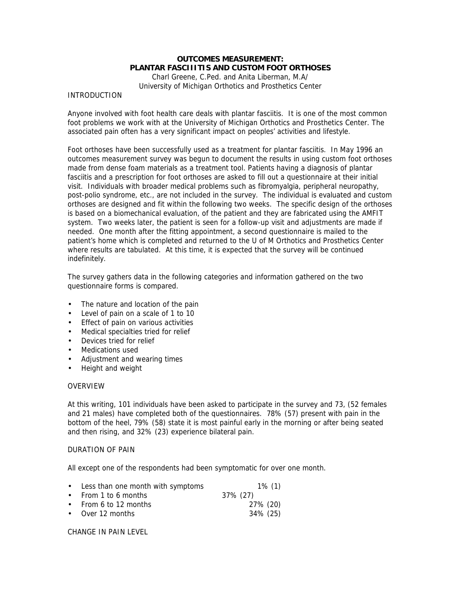# **OUTCOMES MEASUREMENT: PLANTAR FASCIIITIS AND CUSTOM FOOT ORTHOSES**

Charl Greene, C.Ped. and Anita Liberman, M.A/ University of Michigan Orthotics and Prosthetics Center

## INTRODUCTION

Anyone involved with foot health care deals with plantar fasciitis. It is one of the most common foot problems we work with at the University of Michigan Orthotics and Prosthetics Center. The associated pain often has a very significant impact on peoples' activities and lifestyle.

Foot orthoses have been successfully used as a treatment for plantar fasciitis. In May 1996 an outcomes measurement survey was begun to document the results in using custom foot orthoses made from dense foam materials as a treatment tool. Patients having a diagnosis of plantar fasciitis and a prescription for foot orthoses are asked to fill out a questionnaire at their initial visit. Individuals with broader medical problems such as fibromyalgia, peripheral neuropathy, post-polio syndrome, etc., are not included in the survey. The individual is evaluated and custom orthoses are designed and fit within the following two weeks. The specific design of the orthoses is based on a biomechanical evaluation, of the patient and they are fabricated using the AMFIT system. Two weeks later, the patient is seen for a follow-up visit and adjustments are made if needed. One month after the fitting appointment, a second questionnaire is mailed to the patient's home which is completed and returned to the U of M Orthotics and Prosthetics Center where results are tabulated. At this time, it is expected that the survey will be continued indefinitely.

The survey gathers data in the following categories and information gathered on the two questionnaire forms is compared.

- The nature and location of the pain
- Level of pain on a scale of 1 to 10
- Effect of pain on various activities
- Medical specialties tried for relief
- Devices tried for relief
- Medications used
- Adjustment and wearing times
- Height and weight

## OVERVIEW

At this writing, 101 individuals have been asked to participate in the survey and 73, (52 females and 21 males) have completed both of the questionnaires. 78% (57) present with pain in the bottom of the heel, 79% (58) state it is most painful early in the morning or after being seated and then rising, and 32% (23) experience bilateral pain.

## DURATION OF PAIN

All except one of the respondents had been symptomatic for over one month.

| • Less than one month with symptoms | $1\%$ (1) |
|-------------------------------------|-----------|
| • From 1 to 6 months                | 37% (27)  |
| • From 6 to 12 months               | 27% (20)  |
| $\bullet$ Over 12 months            | 34% (25)  |

CHANGE IN PAIN LEVEL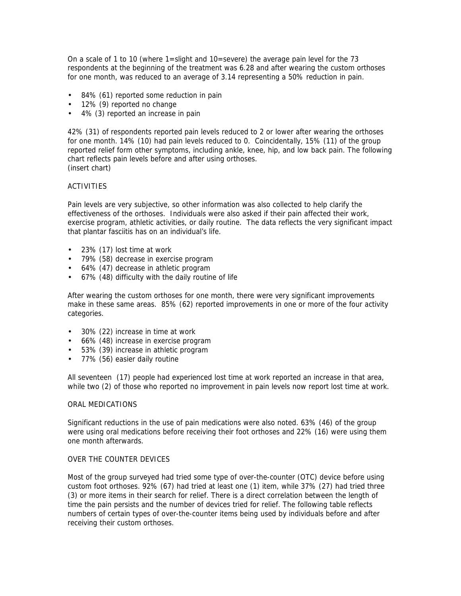On a scale of 1 to 10 (where  $1 =$  slight and  $10 =$ severe) the average pain level for the 73 respondents at the beginning of the treatment was 6.28 and after wearing the custom orthoses for one month, was reduced to an average of 3.14 representing a 50% reduction in pain.

- 84% (61) reported some reduction in pain
- 12% (9) reported no change
- 4% (3) reported an increase in pain

42% (31) of respondents reported pain levels reduced to 2 or lower after wearing the orthoses for one month. 14% (10) had pain levels reduced to 0. Coincidentally, 15% (11) of the group reported relief form other symptoms, including ankle, knee, hip, and low back pain. The following chart reflects pain levels before and after using orthoses. (insert chart)

ACTIVITIES

Pain levels are very subjective, so other information was also collected to help clarify the effectiveness of the orthoses. Individuals were also asked if their pain affected their work, exercise program, athletic activities, or daily routine. The data reflects the very significant impact that plantar fasciitis has on an individual's life.

- 23% (17) lost time at work
- 79% (58) decrease in exercise program
- 64% (47) decrease in athletic program
- 67% (48) difficulty with the daily routine of life

After wearing the custom orthoses for one month, there were very significant improvements make in these same areas. 85% (62) reported improvements in one or more of the four activity categories.

- 30% (22) increase in time at work
- 66% (48) increase in exercise program
- 53% (39) increase in athletic program
- 77% (56) easier daily routine

All seventeen (17) people had experienced lost time at work reported an increase in that area, while two (2) of those who reported no improvement in pain levels now report lost time at work.

## ORAL MEDICATIONS

Significant reductions in the use of pain medications were also noted. 63% (46) of the group were using oral medications before receiving their foot orthoses and 22% (16) were using them one month afterwards.

## OVER THE COUNTER DEVICES

Most of the group surveyed had tried some type of over-the-counter (OTC) device before using custom foot orthoses. 92% (67) had tried at least one (1) item, while 37% (27) had tried three (3) or more items in their search for relief. There is a direct correlation between the length of time the pain persists and the number of devices tried for relief. The following table reflects numbers of certain types of over-the-counter items being used by individuals before and after receiving their custom orthoses.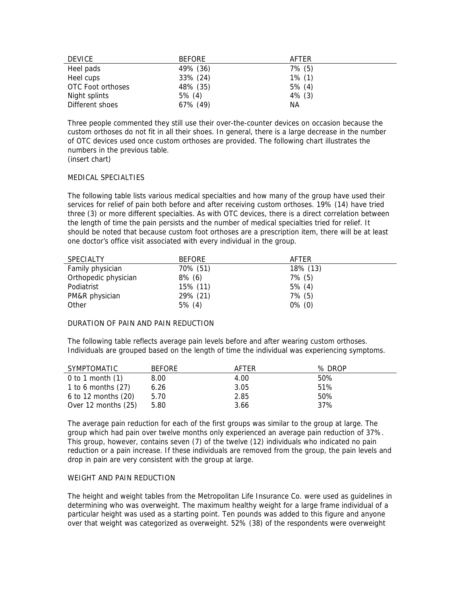| <b>DEVICE</b>     | <b>BEFORE</b> | AFTER     |
|-------------------|---------------|-----------|
| Heel pads         | 49% (36)      | $7\%$ (5) |
| Heel cups         | 33% (24)      | $1\%$ (1) |
| OTC Foot orthoses | 48% (35)      | $5\%$ (4) |
| Night splints     | $5\%$ (4)     | $4\%$ (3) |
| Different shoes   | 67% (49)      | ΝA        |

Three people commented they still use their over-the-counter devices on occasion because the custom orthoses do not fit in all their shoes. In general, there is a large decrease in the number of OTC devices used once custom orthoses are provided. The following chart illustrates the numbers in the previous table.

(insert chart)

#### MEDICAL SPECIALTIES

The following table lists various medical specialties and how many of the group have used their services for relief of pain both before and after receiving custom orthoses. 19% (14) have tried three (3) or more different specialties. As with OTC devices, there is a direct correlation between the length of time the pain persists and the number of medical specialties tried for relief. It should be noted that because custom foot orthoses are a prescription item, there will be at least one doctor's office visit associated with every individual in the group.

| <b>SPECIALTY</b>     | <b>BEFORE</b> | AFTFR     |
|----------------------|---------------|-----------|
| Family physician     | 70% (51)      | 18% (13)  |
| Orthopedic physician | $8\%$ (6)     | $7\%$ (5) |
| Podiatrist           | 15% (11)      | $5\%$ (4) |
| PM&R physician       | 29% (21)      | $7\%$ (5) |
| Other                | $5\%$ (4)     | $0\%$ (0) |

## DURATION OF PAIN AND PAIN REDUCTION

The following table reflects average pain levels before and after wearing custom orthoses. Individuals are grouped based on the length of time the individual was experiencing symptoms.

| SYMPTOMATIC             | <b>BEFORE</b> | AFTER | % DROP |
|-------------------------|---------------|-------|--------|
| 0 to 1 month $(1)$      | 8.00          | 4.00  | 50%    |
| 1 to 6 months $(27)$    | 6.26          | 3.05  | 51%    |
| $6$ to 12 months $(20)$ | 5.70          | 2.85  | 50%    |
| Over 12 months (25)     | 5.80          | 3.66  | 37%    |

The average pain reduction for each of the first groups was similar to the group at large. The group which had pain over twelve months only experienced an average pain reduction of 37%. This group, however, contains seven (7) of the twelve (12) individuals who indicated no pain reduction or a pain increase. If these individuals are removed from the group, the pain levels and drop in pain are very consistent with the group at large.

## WEIGHT AND PAIN REDUCTION

The height and weight tables from the Metropolitan Life Insurance Co. were used as guidelines in determining who was overweight. The maximum healthy weight for a large frame individual of a particular height was used as a starting point. Ten pounds was added to this figure and anyone over that weight was categorized as overweight. 52% (38) of the respondents were overweight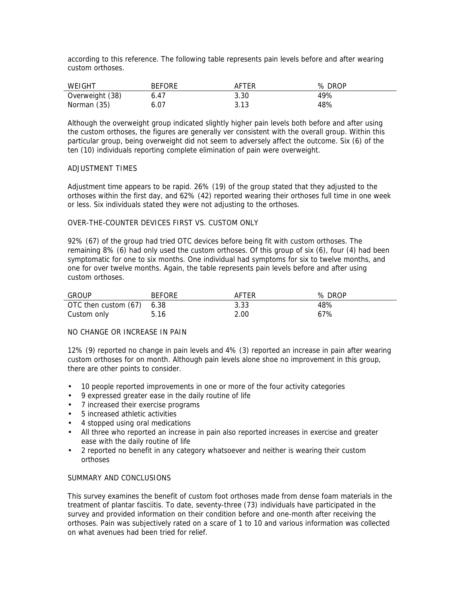according to this reference. The following table represents pain levels before and after wearing custom orthoses.

| WEIGHT          | <b>BEFORE</b> | AFTER | % DROP |
|-----------------|---------------|-------|--------|
| Overweight (38) | 6.47          | 3.30  | 49%    |
| Norman (35)     | 6.07          | 3.13  | 48%    |

Although the overweight group indicated slightly higher pain levels both before and after using the custom orthoses, the figures are generally ver consistent with the overall group. Within this particular group, being overweight did not seem to adversely affect the outcome. Six (6) of the ten (10) individuals reporting complete elimination of pain were overweight.

## ADJUSTMENT TIMES

Adjustment time appears to be rapid. 26% (19) of the group stated that they adjusted to the orthoses within the first day, and 62% (42) reported wearing their orthoses full time in one week or less. Six individuals stated they were not adjusting to the orthoses.

## OVER-THE-COUNTER DEVICES FIRST VS. CUSTOM ONLY

92% (67) of the group had tried OTC devices before being fit with custom orthoses. The remaining 8% (6) had only used the custom orthoses. Of this group of six (6), four (4) had been symptomatic for one to six months. One individual had symptoms for six to twelve months, and one for over twelve months. Again, the table represents pain levels before and after using custom orthoses.

| <b>GROUP</b>              | <b>BEFORE</b> | AFTER | % DROP |
|---------------------------|---------------|-------|--------|
| OTC then custom (67) 6.38 |               | 3.33  | 48%    |
| Custom only               | 5.16          | 2.00  | 67%    |

## NO CHANGE OR INCREASE IN PAIN

12% (9) reported no change in pain levels and 4% (3) reported an increase in pain after wearing custom orthoses for on month. Although pain levels alone shoe no improvement in this group, there are other points to consider.

- 10 people reported improvements in one or more of the four activity categories
- 9 expressed greater ease in the daily routine of life
- 7 increased their exercise programs
- 5 increased athletic activities
- 4 stopped using oral medications
- All three who reported an increase in pain also reported increases in exercise and greater ease with the daily routine of life
- 2 reported no benefit in any category whatsoever and neither is wearing their custom orthoses

## SUMMARY AND CONCLUSIONS

This survey examines the benefit of custom foot orthoses made from dense foam materials in the treatment of plantar fasciitis. To date, seventy-three (73) individuals have participated in the survey and provided information on their condition before and one-month after receiving the orthoses. Pain was subjectively rated on a scare of 1 to 10 and various information was collected on what avenues had been tried for relief.